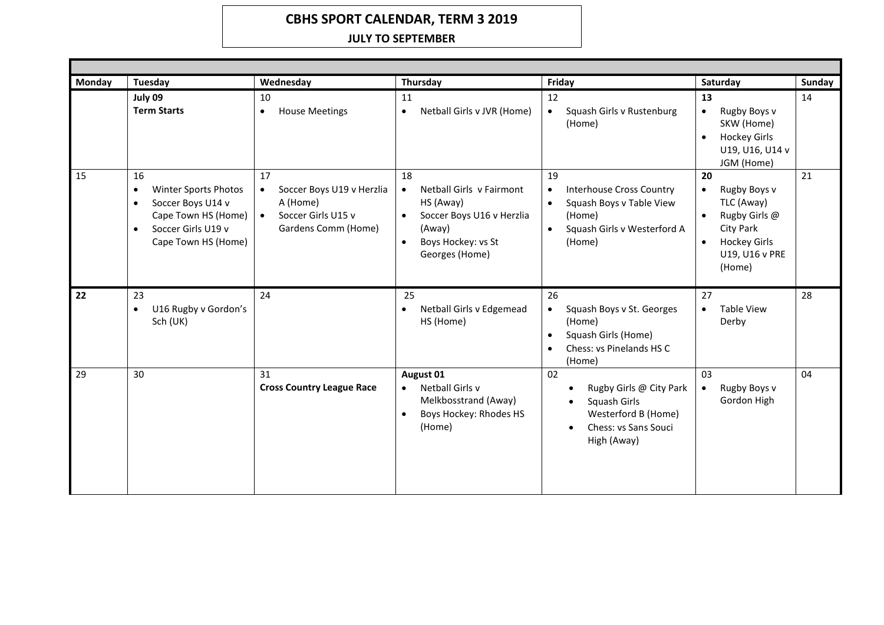## **CBHS SPORT CALENDAR, TERM 3 2019**

## **JULY TO SEPTEMBER**

| Monday | <b>Tuesday</b>                                                                                                                                             | Wednesday                                                                                                          | Thursday                                                                                                                                             | Friday                                                                                                                                                      | Saturday                                                                                                                                    | <b>Sunday</b> |  |
|--------|------------------------------------------------------------------------------------------------------------------------------------------------------------|--------------------------------------------------------------------------------------------------------------------|------------------------------------------------------------------------------------------------------------------------------------------------------|-------------------------------------------------------------------------------------------------------------------------------------------------------------|---------------------------------------------------------------------------------------------------------------------------------------------|---------------|--|
|        | July 09<br><b>Term Starts</b>                                                                                                                              | 10<br><b>House Meetings</b><br>$\bullet$                                                                           | 11<br>Netball Girls v JVR (Home)<br>$\bullet$                                                                                                        | 12<br>Squash Girls v Rustenburg<br>$\bullet$<br>(Home)                                                                                                      | 13<br>Rugby Boys v<br>$\bullet$<br>SKW (Home)<br><b>Hockey Girls</b><br>$\bullet$<br>U19, U16, U14 v<br>JGM (Home)                          | 14            |  |
| 15     | 16<br>Winter Sports Photos<br>$\bullet$<br>Soccer Boys U14 v<br>$\bullet$<br>Cape Town HS (Home)<br>Soccer Girls U19 v<br>$\bullet$<br>Cape Town HS (Home) | 17<br>Soccer Boys U19 v Herzlia<br>$\bullet$<br>A (Home)<br>Soccer Girls U15 v<br>$\bullet$<br>Gardens Comm (Home) | 18<br>Netball Girls v Fairmont<br>$\bullet$<br>HS (Away)<br>Soccer Boys U16 v Herzlia<br>(Away)<br>Boys Hockey: vs St<br>$\bullet$<br>Georges (Home) | 19<br><b>Interhouse Cross Country</b><br>$\bullet$<br>Squash Boys v Table View<br>$\bullet$<br>(Home)<br>Squash Girls v Westerford A<br>$\bullet$<br>(Home) | 20<br>Rugby Boys v<br>$\bullet$<br>TLC (Away)<br>Rugby Girls @<br>City Park<br><b>Hockey Girls</b><br>$\bullet$<br>U19, U16 v PRE<br>(Home) | 21            |  |
| 22     | 23<br>U16 Rugby v Gordon's<br>$\bullet$<br>Sch (UK)                                                                                                        | 24                                                                                                                 | 25<br>Netball Girls v Edgemead<br>$\bullet$<br>HS (Home)                                                                                             | 26<br>Squash Boys v St. Georges<br>$\bullet$<br>(Home)<br>Squash Girls (Home)<br>$\bullet$<br>Chess: vs Pinelands HS C<br>$\bullet$<br>(Home)               | 27<br><b>Table View</b><br>$\bullet$<br>Derby                                                                                               | 28            |  |
| 29     | 30                                                                                                                                                         | 31<br><b>Cross Country League Race</b>                                                                             | August 01<br>Netball Girls v<br>$\bullet$<br>Melkbosstrand (Away)<br>Boys Hockey: Rhodes HS<br>$\bullet$<br>(Home)                                   | 02<br>Rugby Girls @ City Park<br>Squash Girls<br>$\bullet$<br>Westerford B (Home)<br>Chess: vs Sans Souci<br>$\bullet$<br>High (Away)                       | 03<br>Rugby Boys v<br>$\bullet$<br>Gordon High                                                                                              | 04            |  |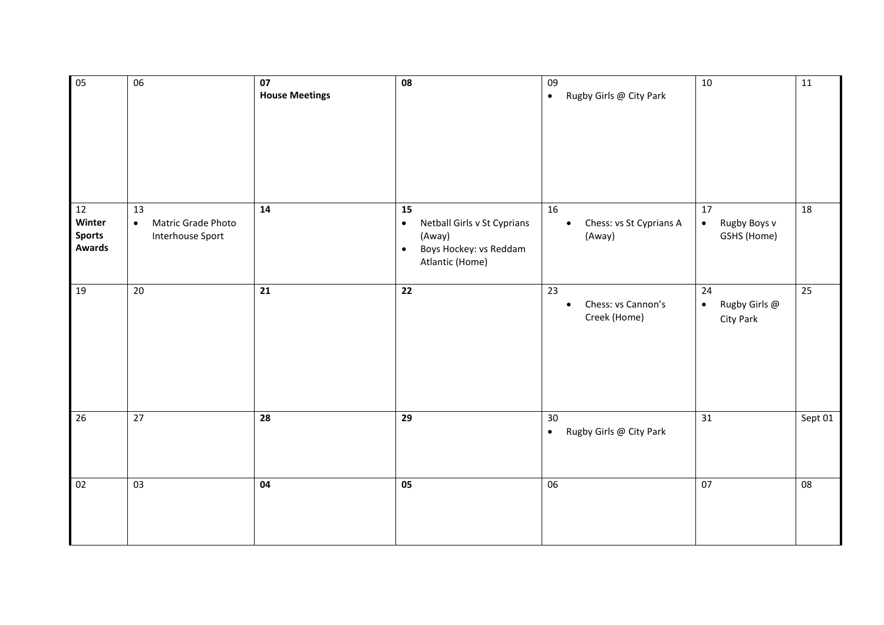| $\overline{05}$                                             | $\overline{06}$                                           | $\overline{07}$<br><b>House Meetings</b> | $\overline{08}$                                                                                                    | 09<br>Rugby Girls @ City Park<br>$\bullet$            | 10                                             | 11              |
|-------------------------------------------------------------|-----------------------------------------------------------|------------------------------------------|--------------------------------------------------------------------------------------------------------------------|-------------------------------------------------------|------------------------------------------------|-----------------|
| $\overline{12}$<br>Winter<br><b>Sports</b><br><b>Awards</b> | 13<br>Matric Grade Photo<br>$\bullet$<br>Interhouse Sport | 14                                       | 15<br>Netball Girls v St Cyprians<br>$\bullet$<br>(Away)<br>Boys Hockey: vs Reddam<br>$\bullet$<br>Atlantic (Home) | 16<br>Chess: vs St Cyprians A<br>$\bullet$<br>(Away)  | 17<br>Rugby Boys v<br>$\bullet$<br>GSHS (Home) | $\overline{18}$ |
| 19                                                          | 20                                                        | 21                                       | 22                                                                                                                 | 23<br>Chess: vs Cannon's<br>$\bullet$<br>Creek (Home) | 24<br>Rugby Girls @<br>$\bullet$<br>City Park  | 25              |
| 26                                                          | 27                                                        | 28                                       | 29                                                                                                                 | 30<br>Rugby Girls @ City Park<br>$\bullet$            | 31                                             | Sept 01         |
| 02                                                          | 03                                                        | 04                                       | 05                                                                                                                 | 06                                                    | 07                                             | 08              |